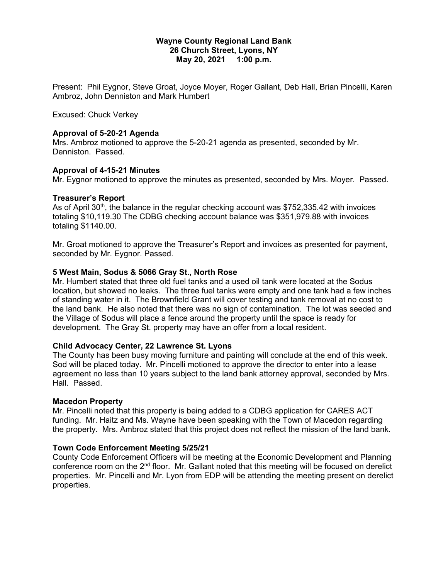### **Wayne County Regional Land Bank 26 Church Street, Lyons, NY May 20, 2021 1:00 p.m.**

Present: Phil Eygnor, Steve Groat, Joyce Moyer, Roger Gallant, Deb Hall, Brian Pincelli, Karen Ambroz, John Denniston and Mark Humbert

Excused: Chuck Verkey

## **Approval of 5-20-21 Agenda**

Mrs. Ambroz motioned to approve the 5-20-21 agenda as presented, seconded by Mr. Denniston. Passed.

## **Approval of 4-15-21 Minutes**

Mr. Eygnor motioned to approve the minutes as presented, seconded by Mrs. Moyer. Passed.

### **Treasurer's Report**

As of April 30<sup>th</sup>, the balance in the regular checking account was \$752,335.42 with invoices totaling \$10,119.30 The CDBG checking account balance was \$351,979.88 with invoices totaling \$1140.00.

Mr. Groat motioned to approve the Treasurer's Report and invoices as presented for payment, seconded by Mr. Eygnor. Passed.

## **5 West Main, Sodus & 5066 Gray St., North Rose**

Mr. Humbert stated that three old fuel tanks and a used oil tank were located at the Sodus location, but showed no leaks. The three fuel tanks were empty and one tank had a few inches of standing water in it. The Brownfield Grant will cover testing and tank removal at no cost to the land bank. He also noted that there was no sign of contamination. The lot was seeded and the Village of Sodus will place a fence around the property until the space is ready for development. The Gray St. property may have an offer from a local resident.

# **Child Advocacy Center, 22 Lawrence St. Lyons**

The County has been busy moving furniture and painting will conclude at the end of this week. Sod will be placed today. Mr. Pincelli motioned to approve the director to enter into a lease agreement no less than 10 years subject to the land bank attorney approval, seconded by Mrs. Hall. Passed.

### **Macedon Property**

Mr. Pincelli noted that this property is being added to a CDBG application for CARES ACT funding. Mr. Haitz and Ms. Wayne have been speaking with the Town of Macedon regarding the property. Mrs. Ambroz stated that this project does not reflect the mission of the land bank.

# **Town Code Enforcement Meeting 5/25/21**

County Code Enforcement Officers will be meeting at the Economic Development and Planning conference room on the 2<sup>nd</sup> floor. Mr. Gallant noted that this meeting will be focused on derelict properties. Mr. Pincelli and Mr. Lyon from EDP will be attending the meeting present on derelict properties.